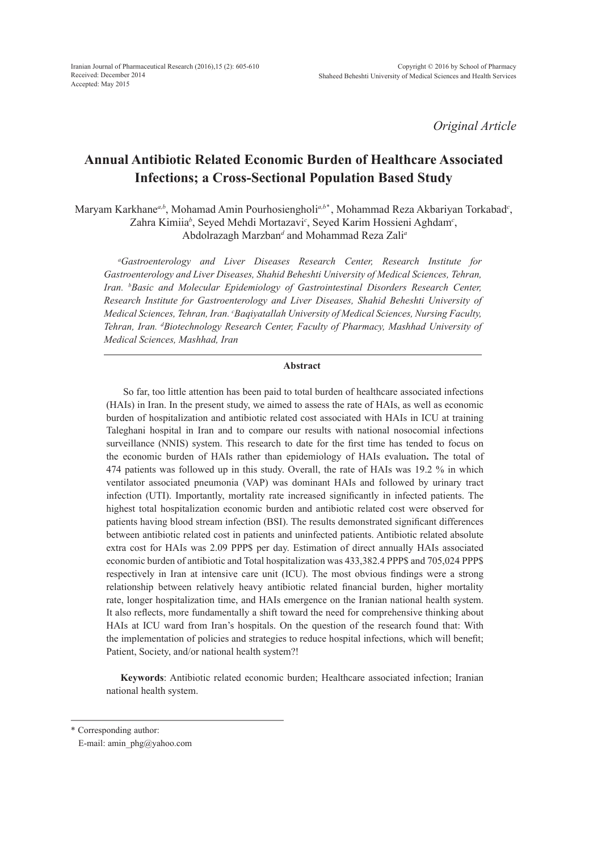*Original Article*

# **Annual Antibiotic Related Economic Burden of Healthcare Associated Infections; a Cross-Sectional Population Based Study**

Maryam Karkhane*a,b*, Mohamad Amin Pourhosiengholi*a,b\** , Mohammad Reza Akbariyan Torkabad*<sup>c</sup>* , Zahra Kimiia*<sup>b</sup>* , Seyed Mehdi Mortazavi*<sup>c</sup>* , Seyed Karim Hossieni Aghdam*<sup>c</sup>* , Abdolrazagh Marzban*<sup>d</sup>* and Mohammad Reza Zali*<sup>a</sup>*

*a Gastroenterology and Liver Diseases Research Center, Research Institute for Gastroenterology and Liver Diseases, Shahid Beheshti University of Medical Sciences, Tehran, Iran. b Basic and Molecular Epidemiology of Gastrointestinal Disorders Research Center, Research Institute for Gastroenterology and Liver Diseases, Shahid Beheshti University of Medical Sciences, Tehran, Iran. c Baqiyatallah University of Medical Sciences, Nursing Faculty, Tehran, Iran. d Biotechnology Research Center, Faculty of Pharmacy, Mashhad University of Medical Sciences, Mashhad, Iran*

#### **Abstract**

So far, too little attention has been paid to total burden of healthcare associated infections (HAIs) in Iran. In the present study, we aimed to assess the rate of HAIs, as well as economic burden of hospitalization and antibiotic related cost associated with HAIs in ICU at training Taleghani hospital in Iran and to compare our results with national nosocomial infections surveillance (NNIS) system. This research to date for the first time has tended to focus on the economic burden of HAIs rather than epidemiology of HAIs evaluation**.** The total of 474 patients was followed up in this study. Overall, the rate of HAIs was 19.2 % in which ventilator associated pneumonia (VAP) was dominant HAIs and followed by urinary tract infection (UTI). Importantly, mortality rate increased significantly in infected patients. The highest total hospitalization economic burden and antibiotic related cost were observed for patients having blood stream infection (BSI). The results demonstrated significant differences between antibiotic related cost in patients and uninfected patients. Antibiotic related absolute extra cost for HAIs was 2.09 PPP\$ per day. Estimation of direct annually HAIs associated economic burden of antibiotic and Total hospitalization was 433,382.4 PPP\$ and 705,024 PPP\$ respectively in Iran at intensive care unit (ICU). The most obvious findings were a strong relationship between relatively heavy antibiotic related financial burden, higher mortality rate, longer hospitalization time, and HAIs emergence on the Iranian national health system. It also reflects, more fundamentally a shift toward the need for comprehensive thinking about HAIs at ICU ward from Iran's hospitals. On the question of the research found that: With the implementation of policies and strategies to reduce hospital infections, which will benefit; Patient, Society, and/or national health system?!

**Keywords**: Antibiotic related economic burden; Healthcare associated infection; Iranian national health system.

<sup>\*</sup> Corresponding author:

E-mail: amin\_phg@yahoo.com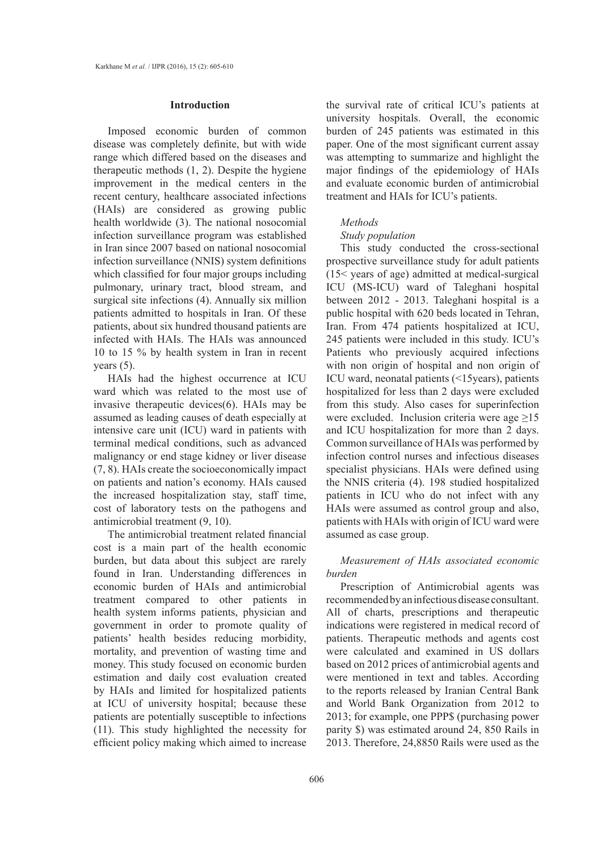### **Introduction**

Imposed economic burden of common disease was completely definite, but with wide range which differed based on the diseases and therapeutic methods (1, 2). Despite the hygiene improvement in the medical centers in the recent century, healthcare associated infections (HAIs) are considered as growing public health worldwide (3). The national nosocomial infection surveillance program was established in Iran since 2007 based on national nosocomial infection surveillance (NNIS) system definitions which classified for four major groups including pulmonary, urinary tract, blood stream, and surgical site infections (4). Annually six million patients admitted to hospitals in Iran. Of these patients, about six hundred thousand patients are infected with HAIs. The HAIs was announced 10 to 15 % by health system in Iran in recent years  $(5)$ .

HAIs had the highest occurrence at ICU ward which was related to the most use of invasive therapeutic devices(6). HAIs may be assumed as leading causes of death especially at intensive care unit (ICU) ward in patients with terminal medical conditions, such as advanced malignancy or end stage kidney or liver disease (7, 8). HAIs create the socioeconomically impact on patients and nation's economy. HAIs caused the increased hospitalization stay, staff time, cost of laboratory tests on the pathogens and antimicrobial treatment (9, 10).

The antimicrobial treatment related financial cost is a main part of the health economic burden, but data about this subject are rarely found in Iran. Understanding differences in economic burden of HAIs and antimicrobial treatment compared to other patients in health system informs patients, physician and government in order to promote quality of patients' health besides reducing morbidity, mortality, and prevention of wasting time and money. This study focused on economic burden estimation and daily cost evaluation created by HAIs and limited for hospitalized patients at ICU of university hospital; because these patients are potentially susceptible to infections (11). This study highlighted the necessity for efficient policy making which aimed to increase

the survival rate of critical ICU's patients at university hospitals. Overall, the economic burden of 245 patients was estimated in this paper. One of the most significant current assay was attempting to summarize and highlight the major findings of the epidemiology of HAIs and evaluate economic burden of antimicrobial treatment and HAIs for ICU's patients.

# *Methods*

## *Study population*

This study conducted the cross-sectional prospective surveillance study for adult patients (15< years of age) admitted at medical-surgical ICU (MS-ICU) ward of Taleghani hospital between 2012 - 2013. Taleghani hospital is a public hospital with 620 beds located in Tehran, Iran. From 474 patients hospitalized at ICU, 245 patients were included in this study. ICU's Patients who previously acquired infections with non origin of hospital and non origin of ICU ward, neonatal patients (<15years), patients hospitalized for less than 2 days were excluded from this study. Also cases for superinfection were excluded. Inclusion criteria were age  $\geq$ 15 and ICU hospitalization for more than 2 days. Common surveillance of HAIs was performed by infection control nurses and infectious diseases specialist physicians. HAIs were defined using the NNIS criteria (4). 198 studied hospitalized patients in ICU who do not infect with any HAIs were assumed as control group and also, patients with HAIs with origin of ICU ward were assumed as case group.

# *Measurement of HAIs associated economic burden*

Prescription of Antimicrobial agents was recommended by an infectious disease consultant. All of charts, prescriptions and therapeutic indications were registered in medical record of patients. Therapeutic methods and agents cost were calculated and examined in US dollars based on 2012 prices of antimicrobial agents and were mentioned in text and tables. According to the reports released by Iranian Central Bank and World Bank Organization from 2012 to 2013; for example, one PPP\$ (purchasing power parity \$) was estimated around 24, 850 Rails in 2013. Therefore, 24,8850 Rails were used as the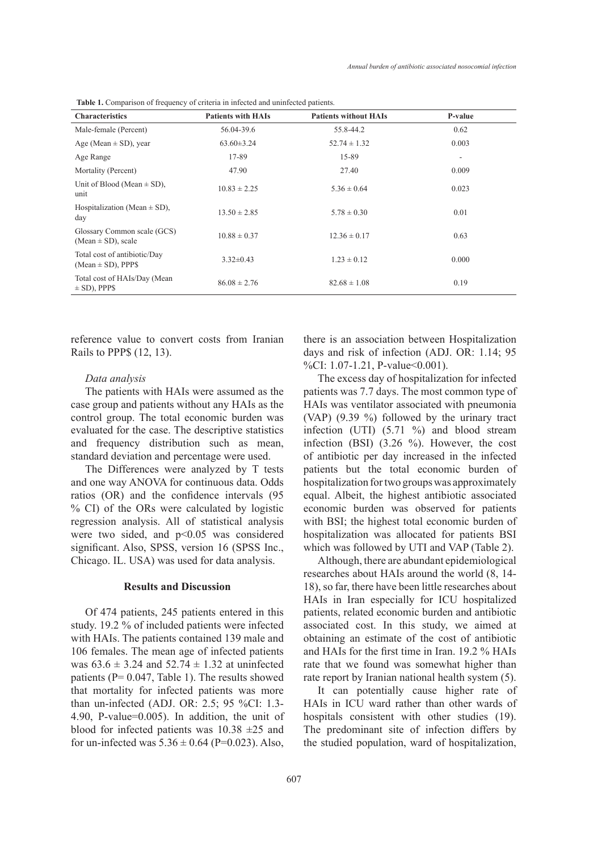| <b>Characteristics</b>                                  | <b>Patients with HAIs</b> | <b>Patients without HAIs</b> | P-value |
|---------------------------------------------------------|---------------------------|------------------------------|---------|
| Male-female (Percent)                                   | 56.04-39.6                | 55.8-44.2                    | 0.62    |
| Age (Mean $\pm$ SD), year                               | $63.60 \pm 3.24$          | $52.74 \pm 1.32$             | 0.003   |
| Age Range                                               | 17-89                     | 15-89                        | ٠       |
| Mortality (Percent)                                     | 47.90                     | 27.40                        | 0.009   |
| Unit of Blood (Mean $\pm$ SD),<br>unit                  | $10.83 \pm 2.25$          | $5.36 \pm 0.64$              | 0.023   |
| Hospitalization (Mean $\pm$ SD),<br>day                 | $13.50 \pm 2.85$          | $5.78 \pm 0.30$              | 0.01    |
| Glossary Common scale (GCS)<br>(Mean $\pm$ SD), scale   | $10.88 \pm 0.37$          | $12.36 \pm 0.17$             | 0.63    |
| Total cost of antibiotic/Day<br>$(Mean \pm SD)$ , PPP\$ | $3.32 \pm 0.43$           | $1.23 \pm 0.12$              | 0.000   |
| Total cost of HAIs/Day (Mean<br>$\pm$ SD), PPP\$        | $86.08 \pm 2.76$          | $82.68 \pm 1.08$             | 0.19    |

**Table 1.** Comparison of frequency of criteria in infected and uninfected patients.

reference value to convert costs from Iranian Rails to PPP\$ (12, 13).

# *Data analysis*

The patients with HAIs were assumed as the case group and patients without any HAIs as the control group. The total economic burden was evaluated for the case. The descriptive statistics and frequency distribution such as mean, standard deviation and percentage were used.

The Differences were analyzed by T tests and one way ANOVA for continuous data. Odds ratios (OR) and the confidence intervals (95 % CI) of the ORs were calculated by logistic regression analysis. All of statistical analysis were two sided, and p<0.05 was considered significant. Also, SPSS, version 16 (SPSS Inc., Chicago. IL. USA) was used for data analysis.

## **Results and Discussion**

Of 474 patients, 245 patients entered in this study. 19.2 % of included patients were infected with HAIs. The patients contained 139 male and 106 females. The mean age of infected patients was  $63.6 \pm 3.24$  and  $52.74 \pm 1.32$  at uninfected patients ( $P = 0.047$ , Table 1). The results showed that mortality for infected patients was more than un-infected (ADJ. OR: 2.5; 95 %CI: 1.3- 4.90, P-value=0.005). In addition, the unit of blood for infected patients was  $10.38 \pm 25$  and for un-infected was  $5.36 \pm 0.64$  (P=0.023). Also, there is an association between Hospitalization days and risk of infection (ADJ. OR: 1.14; 95 %CI: 1.07-1.21, P-value<0.001).

The excess day of hospitalization for infected patients was 7.7 days. The most common type of HAIs was ventilator associated with pneumonia (VAP) (9.39 %) followed by the urinary tract infection (UTI) (5.71 %) and blood stream infection (BSI) (3.26 %). However, the cost of antibiotic per day increased in the infected patients but the total economic burden of hospitalization for two groups was approximately equal. Albeit, the highest antibiotic associated economic burden was observed for patients with BSI; the highest total economic burden of hospitalization was allocated for patients BSI which was followed by UTI and VAP (Table 2).

Although, there are abundant epidemiological researches about HAIs around the world (8, 14- 18), so far, there have been little researches about HAIs in Iran especially for ICU hospitalized patients, related economic burden and antibiotic associated cost. In this study, we aimed at obtaining an estimate of the cost of antibiotic and HAIs for the first time in Iran. 19.2 % HAIs rate that we found was somewhat higher than rate report by Iranian national health system (5).

It can potentially cause higher rate of HAIs in ICU ward rather than other wards of hospitals consistent with other studies (19). The predominant site of infection differs by the studied population, ward of hospitalization,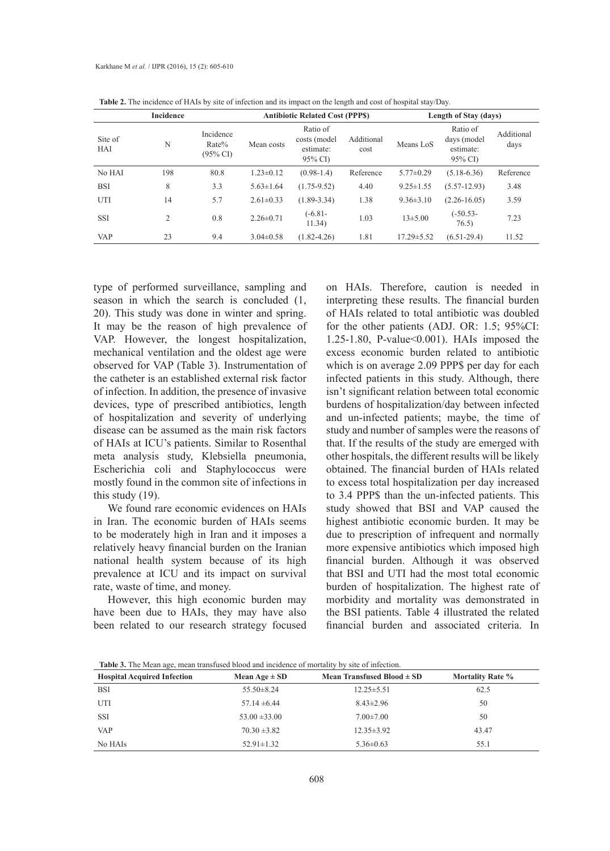|                | <b>Incidence</b> |                                           | <b>Antibiotic Related Cost (PPPS)</b> |                                                  | Length of Stay (days) |                  |                                                 |                    |
|----------------|------------------|-------------------------------------------|---------------------------------------|--------------------------------------------------|-----------------------|------------------|-------------------------------------------------|--------------------|
| Site of<br>HAI | N                | Incidence<br>Rate%<br>$(95\% \text{ CI})$ | Mean costs                            | Ratio of<br>costs (model)<br>estimate:<br>95% CI | Additional<br>cost    | Means LoS        | Ratio of<br>days (model<br>estimate:<br>95% CI) | Additional<br>days |
| No HAI         | 198              | 80.8                                      | $1.23 \pm 0.12$                       | $(0.98-1.4)$                                     | Reference             | $5.77 \pm 0.29$  | $(5.18-6.36)$                                   | Reference          |
| <b>BSI</b>     | 8                | 3.3                                       | $5.63 \pm 1.64$                       | $(1.75 - 9.52)$                                  | 4.40                  | $9.25 \pm 1.55$  | $(5.57 - 12.93)$                                | 3.48               |
| UTI            | 14               | 5.7                                       | $2.61 \pm 0.33$                       | $(1.89 - 3.34)$                                  | 1.38                  | $9.36 \pm 3.10$  | $(2.26 - 16.05)$                                | 3.59               |
| <b>SSI</b>     | $\overline{2}$   | 0.8                                       | $2.26 \pm 0.71$                       | $(-6.81 -$<br>11.34)                             | 1.03                  | $13\pm5.00$      | $(-50.53 -$<br>76.5)                            | 7.23               |
| <b>VAP</b>     | 23               | 9.4                                       | $3.04\pm0.58$                         | $(1.82 - 4.26)$                                  | 1.81                  | $17.29 \pm 5.52$ | $(6.51-29.4)$                                   | 11.52              |

**Table 2.** The incidence of HAIs by site of infection and its impact on the length and cost of hospital stay/Day.

type of performed surveillance, sampling and season in which the search is concluded (1, 20). This study was done in winter and spring. It may be the reason of high prevalence of VAP. However, the longest hospitalization, mechanical ventilation and the oldest age were observed for VAP (Table 3). Instrumentation of the catheter is an established external risk factor of infection. In addition, the presence of invasive devices, type of prescribed antibiotics, length of hospitalization and severity of underlying disease can be assumed as the main risk factors of HAIs at ICU's patients. Similar to Rosenthal meta analysis study, Klebsiella pneumonia, Escherichia coli and Staphylococcus were mostly found in the common site of infections in this study (19).

We found rare economic evidences on HAIs in Iran. The economic burden of HAIs seems to be moderately high in Iran and it imposes a relatively heavy financial burden on the Iranian national health system because of its high prevalence at ICU and its impact on survival rate, waste of time, and money.

However, this high economic burden may have been due to HAIs, they may have also been related to our research strategy focused on HAIs. Therefore, caution is needed in interpreting these results. The financial burden of HAIs related to total antibiotic was doubled for the other patients (ADJ. OR: 1.5; 95%CI: 1.25-1.80, P-value<0.001). HAIs imposed the excess economic burden related to antibiotic which is on average 2.09 PPP\$ per day for each infected patients in this study. Although, there isn't significant relation between total economic burdens of hospitalization/day between infected and un-infected patients; maybe, the time of study and number of samples were the reasons of that. If the results of the study are emerged with other hospitals, the different results will be likely obtained. The financial burden of HAIs related to excess total hospitalization per day increased to 3.4 PPP\$ than the un-infected patients. This study showed that BSI and VAP caused the highest antibiotic economic burden. It may be due to prescription of infrequent and normally more expensive antibiotics which imposed high financial burden. Although it was observed that BSI and UTI had the most total economic burden of hospitalization. The highest rate of morbidity and mortality was demonstrated in the BSI patients. Table 4 illustrated the related financial burden and associated criteria. In

**Table 3.** The Mean age, mean transfused blood and incidence of mortality by site of infection.

| <b>Hospital Acquired Infection</b> | Mean Age $\pm$ SD | Mean Transfused Blood $\pm$ SD | <b>Mortality Rate %</b> |  |
|------------------------------------|-------------------|--------------------------------|-------------------------|--|
| <b>BSI</b>                         | $55.50 \pm 8.24$  | $12.25 \pm 5.51$               | 62.5                    |  |
| UTI                                | $57.14 \pm 6.44$  | $8.43 \pm 2.96$                | 50                      |  |
| SSI                                | $53.00 \pm 33.00$ | $7.00 \pm 7.00$                | 50                      |  |
| <b>VAP</b>                         | $70.30 \pm 3.82$  | $12.35 \pm 3.92$               | 43.47                   |  |
| No HAIs                            | $52.91 \pm 1.32$  | $5.36 \pm 0.63$                | 55.1                    |  |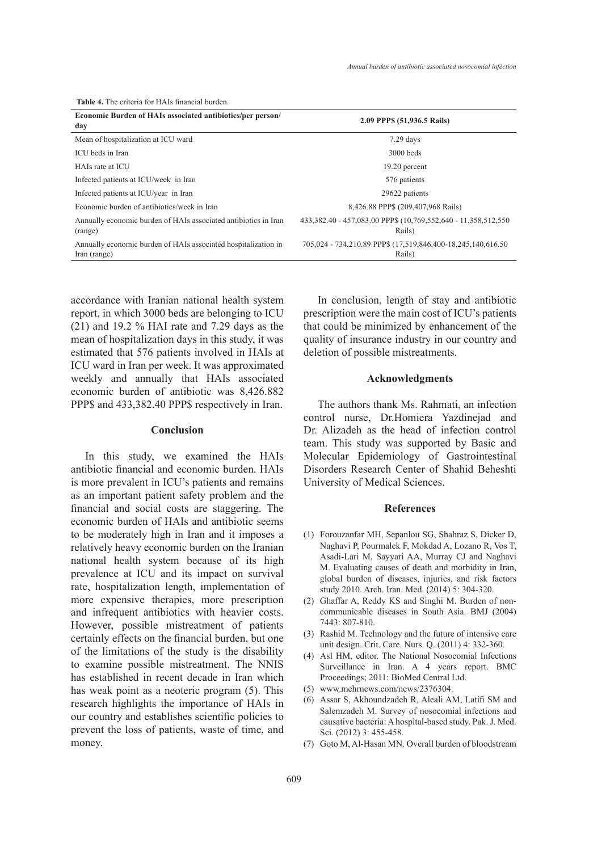| Economic Burden of HAIs associated antibiotics/per person/<br>day              | 2.09 PPPS (51,936.5 Rails)                                                |  |
|--------------------------------------------------------------------------------|---------------------------------------------------------------------------|--|
| Mean of hospitalization at ICU ward                                            | $7.29$ days                                                               |  |
| ICU beds in Iran                                                               | $3000$ beds                                                               |  |
| HAIs rate at ICU                                                               | 19.20 percent                                                             |  |
| Infected patients at ICU/week in Iran                                          | 576 patients                                                              |  |
| Infected patients at ICU/year in Iran                                          | 29622 patients                                                            |  |
| Economic burden of antibiotics/week in Iran                                    | 8,426.88 PPP\$ (209,407,968 Rails)                                        |  |
| Annually economic burden of HAIs associated antibiotics in Iran<br>(range)     | 433,382.40 - 457,083.00 PPP\$ (10,769,552,640 - 11,358,512,550)<br>Rails) |  |
| Annually economic burden of HAIs associated hospitalization in<br>Iran (range) | 705,024 - 734,210.89 PPP\$ (17,519,846,400-18,245,140,616.50)<br>Rails)   |  |

accordance with Iranian national health system report, in which 3000 beds are belonging to ICU (21) and 19.2 % HAI rate and 7.29 days as the mean of hospitalization days in this study, it was estimated that 576 patients involved in HAIs at ICU ward in Iran per week. It was approximated weekly and annually that HAIs associated economic burden of antibiotic was 8,426.882 PPP\$ and 433,382.40 PPP\$ respectively in Iran.

# **Conclusion**

In this study, we examined the HAIs antibiotic financial and economic burden. HAIs is more prevalent in ICU's patients and remains as an important patient safety problem and the financial and social costs are staggering. The economic burden of HAIs and antibiotic seems to be moderately high in Iran and it imposes a relatively heavy economic burden on the Iranian national health system because of its high prevalence at ICU and its impact on survival rate, hospitalization length, implementation of more expensive therapies, more prescription and infrequent antibiotics with heavier costs. However, possible mistreatment of patients certainly effects on the financial burden, but one of the limitations of the study is the disability to examine possible mistreatment. The NNIS has established in recent decade in Iran which has weak point as a neoteric program (5). This research highlights the importance of HAIs in our country and establishes scientific policies to prevent the loss of patients, waste of time, and money.

In conclusion, length of stay and antibiotic prescription were the main cost of ICU's patients that could be minimized by enhancement of the quality of insurance industry in our country and deletion of possible mistreatments.

# **Acknowledgments**

The authors thank Ms. Rahmati, an infection control nurse, Dr.Homiera Yazdinejad and Dr. Alizadeh as the head of infection control team. This study was supported by Basic and Molecular Epidemiology of Gastrointestinal Disorders Research Center of Shahid Beheshti University of Medical Sciences.

#### **References**

- Forouzanfar MH, Sepanlou SG, Shahraz S, Dicker D, (1) Naghavi P, Pourmalek F, Mokdad A, Lozano R, Vos T, Asadi-Lari M, Sayyari AA, Murray CJ and Naghavi M. Evaluating causes of death and morbidity in Iran, global burden of diseases, injuries, and risk factors study 2010. Arch. Iran. Med. (2014) 5: 304-320.
- Ghaffar A, Reddy KS and Singhi M. Burden of non-(2) communicable diseases in South Asia. BMJ (2004) 7443: 807-810.
- (3) Rashid M. Technology and the future of intensive care unit design. Crit. Care. Nurs. Q. (2011) 4: 332-360.
- Asl HM, editor. The National Nosocomial Infections (4) Surveillance in Iran. A 4 years report. BMC Proceedings; 2011: BioMed Central Ltd.
- www.mehrnews.com/news/2376304. (5)
- Assar S, Akhoundzadeh R, Aleali AM, Latifi SM and (6) Salemzadeh M. Survey of nosocomial infections and causative bacteria: A hospital-based study. Pak. J. Med. Sci. (2012) 3: 455-458.
- (7) Goto M, Al-Hasan MN. Overall burden of bloodstream